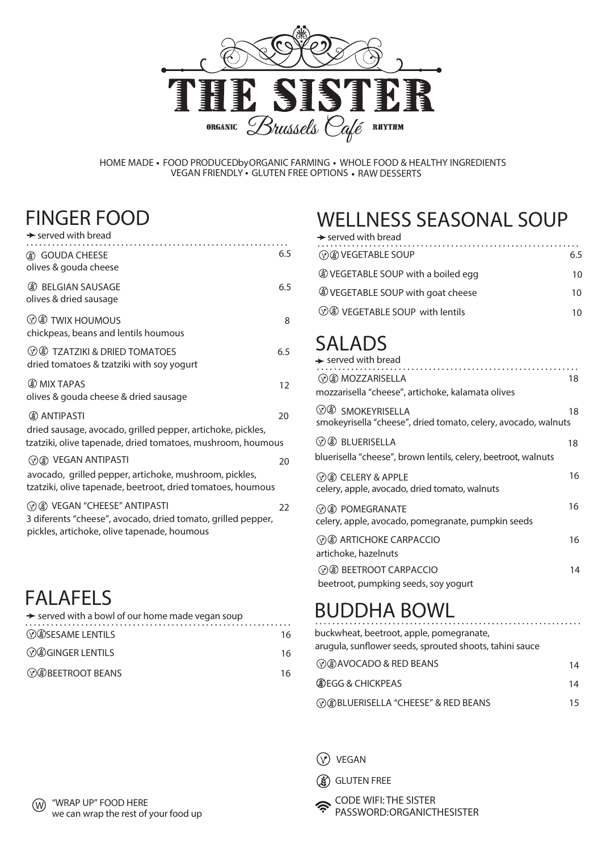

HOME MADE • FOOD PRODUCEDbyORGANIC FARMING • WHOLE FOOD & HEALTHY INGREDIENTS VEGAN FRIEND LY GLUTEN FREE OPTIONS R AW DESSERTS

#### **FINGER FOOD**

| $\rightarrow$ served with bread                                                                                                                    |                                                                                                               |
|----------------------------------------------------------------------------------------------------------------------------------------------------|---------------------------------------------------------------------------------------------------------------|
| <b>3</b> GOUDA CHEESE<br>olives & gouda cheese                                                                                                     | 6.5                                                                                                           |
| <b>8</b> BELGIAN SAUSAGE<br>olives & dried sausage                                                                                                 | 6.5                                                                                                           |
| $\circledcirc$ TWIX HOUMOUS<br>chickpeas, beans and lentils houmous                                                                                | 8                                                                                                             |
| $\circledR$ TZATZIKI & DRIED TOMATOES<br>dried tomatoes & tzatziki with soy yogurt                                                                 | 6.5                                                                                                           |
| <b>OMIX TAPAS</b><br>olives & gouda cheese & dried sausage                                                                                         | 12                                                                                                            |
| <b>(8) ANTIPASTI</b><br>dried sausage, avocado, grilled pepper, artichoke, pickles,<br>tzatziki, olive tapenade, dried tomatoes, mushroom, houmous | 20                                                                                                            |
| <b>8 VEGAN ANTIPASTI</b><br>avocado, grilled pepper, artichoke, mushroom, pickles,<br>tzatziki, olive tapenade, beetroot, dried tomatoes, houmous  | 20                                                                                                            |
| <b>8 VEGAN "CHEESE" ANTIPASTI</b><br>3 diferents "cheese", avocado, dried tomato, grilled pepper,<br>pickles, artichoke, olive tapenade, houmous   | 22                                                                                                            |
|                                                                                                                                                    |                                                                                                               |
|                                                                                                                                                    |                                                                                                               |
|                                                                                                                                                    | 16                                                                                                            |
| $\circledR$ GINGER LENTILS                                                                                                                         | 16                                                                                                            |
| <b><i>©®BEETROOT BEANS</i></b>                                                                                                                     | 16                                                                                                            |
|                                                                                                                                                    | <b>FALAFELS</b><br>Served with a bowl of our home made vegan soup<br><b><i></i></b> <i>S S</i> SESAME LENTILS |

### **FA LAFEL S**

| $\rightarrow$ served with a bowl of our home made vegan soup |    |   |
|--------------------------------------------------------------|----|---|
| <b><i>©©SESAME LENTILS</i></b>                               | 16 | h |
| <b><i>©®GINGER LENTILS</i></b>                               | 16 | a |
| <b><i>CO</i></b> BEETROOT BEANS                              | 16 |   |

## **WELLNESS SEASONAL SOUP**

| $\rightarrow$ served with bread              |     |
|----------------------------------------------|-----|
| <b>MOON VEGETABLE SOUP</b>                   | 6 5 |
| <b>WEGETABLE SOUP with a boiled egg</b>      | 10  |
| <b>WEGETABLE SOUP with goat cheese</b>       | 10  |
| <b><i>VO</i></b> VEGETABLE SOUP with lentils |     |

### **SALADS**

| $\rightarrow$ served with bread                                                                          |    |
|----------------------------------------------------------------------------------------------------------|----|
| <b>⊙</b> MOZZARISELLA                                                                                    | 18 |
| mozzarisella "cheese", artichoke, kalamata olives                                                        |    |
| <b>V</b> <sup>(V</sup> ) SMOKEYRISELLA<br>smokeyrisella "cheese", dried tomato, celery, avocado, walnuts | 18 |
| $\Diamond$ $\Diamond$ BLUERISELLA                                                                        | 18 |
| bluerisella "cheese", brown lentils, celery, beetroot, walnuts                                           |    |
| $(y)(x)$ CELERY & APPLE<br>celery, apple, avocado, dried tomato, walnuts                                 | 16 |
| ⊙ (\$) POMEGRANATE<br>celery, apple, avocado, pomegranate, pumpkin seeds                                 | 16 |
| <b>8 ARTICHOKE CARPACCIO</b><br>artichoke, hazelnuts                                                     | 16 |
| <b>BEETROOT CARPACCIO</b><br>beetroot, pumpking seeds, soy yogurt                                        | 14 |

# **BUDDHA BOWL**

u ckwhea t, beetroot, apple, p omegranate, arugula, sunflower seeds, sprouted shoots, tahini sauce

| $\mathcal{O}(3)$ AVOCADO & RED BEANS                 | 14 |
|------------------------------------------------------|----|
| <b>OBJEGG &amp; CHICKPEAS</b>                        | 14 |
| <b><i>©®BLUERISELLA "CHEESE" &amp; RED BEANS</i></b> | 15 |

**VEGAN** 

CODE WIFI: **THE SISTER** GLUTEN FREE<br>CODE WIFI: THE SISTER<br>PASSWORD:ORGANICTHESISTER

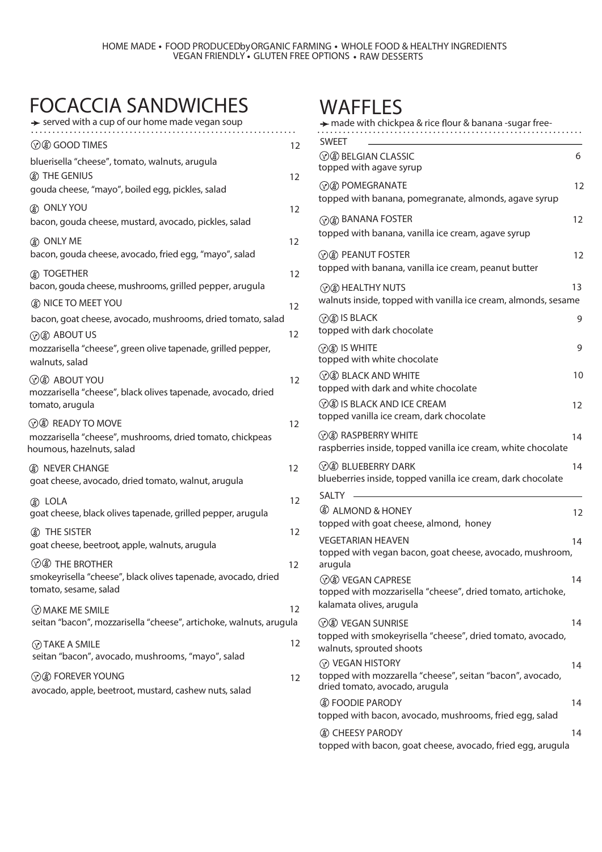### **FOCACCIA SANDWICHES**

 $\rightarrow$  served with a cup of our home made vegan soup . . . . . . . . . . . . **GOOD TIMES** 12 bluerisella "cheese", tomato, walnuts, arugula **THE GENIUS** 12 gouda cheese, "mayo", boiled egg, pickles, salad **ONLY YOU** 12  bacon, gouda cheese, mustard, avocado, pickles, salad **ONLY ME** 12  bacon, gouda cheese, avocado, fried egg, "mayo", salad **TOGETHER** 12  bacon, gouda cheese, mushrooms, grilled pepper, arugula **A** NICE TO MEET YOU **12** bacon, goat cheese, avocado, mushrooms, dried tomato, salad **ABOUT US** 12  mozzarisella "cheese", green olive tapenade, grilled pepper, walnuts, salad **ABOUT YOU** 12 mozzarisella "cheese", black olivestapenade, avocado, dried tomato, arugula  $\oslash$  **& READY TO MOVE** 12 mozzarisella "cheese", mushrooms, dried tomato, chickpeas houmous, hazelnuts, salad **12** NEVER CHANGE goat cheese, avocado, dried tomato, walnut, arugula **LOLA** 12 **(a)** LOLA goat cheese, black olives tapenade, grilled pepper, arugula **THE SISTER** 12 goat cheese, beetroot, apple, walnuts, arugula **EXECUTE:** THE BROTHER **12** smokeyrisella "cheese", black olives tapenade, avocado, dried tomato, sesame, salad **MAKE ME SMILE** 12 seitan "bacon", mozzarisella "cheese", artichoke, walnuts, arugula  **TAKE A SMILE** 12 seitan "bacon", avocado, mushrooms, "mayo", salad  **EXECUTE:** THE POSSES OF THE POSSES OF THE POSSES OF THE POSSES OF THE POSSES OF THE POSSES OF THE POSSES OF THE POSSES OF THE POSSES OF THE POSSES OF THE POSSES OF THE POSSES OF THE POSSES OF THE POSSES OF THE POSSES OF T avocado, apple, beetroot, mustard, cashew nuts, salad

### **WAFFLES**

| Arry made with chickpea & rice flour & banana -sugar free-                                                          |    |
|---------------------------------------------------------------------------------------------------------------------|----|
| <b>SWEET</b><br><b><i>VO BELGIAN CLASSIC</i></b><br>topped with agave syrup                                         | 6  |
| <b><i>© ®</i></b> POMEGRANATE<br>topped with banana, pomegranate, almonds, agave syrup                              | 12 |
| <b>MOO BANANA FOSTER</b><br>topped with banana, vanilla ice cream, agave syrup                                      | 12 |
| <b>8 PEANUT FOSTER</b><br>topped with banana, vanilla ice cream, peanut butter                                      | 12 |
| <b>MO HEALTHY NUTS</b><br>walnuts inside, topped with vanilla ice cream, almonds, sesame                            | 13 |
| <b>⊙</b> IS BLACK<br>topped with dark chocolate                                                                     | 9  |
| $\circledR$ is white<br>topped with white chocolate                                                                 | 9  |
| <b>8 BLACK AND WHITE</b><br>topped with dark and white chocolate                                                    | 10 |
| <b>VO IS BLACK AND ICE CREAM</b><br>topped vanilla ice cream, dark chocolate                                        | 12 |
| <b>⊙</b> RASPBERRY WHITE<br>raspberries inside, topped vanilla ice cream, white chocolate                           | 14 |
| $\Diamond$ BLUEBERRY DARK<br>blueberries inside, topped vanilla ice cream, dark chocolate                           | 14 |
| SAI TY<br><b>(8) ALMOND &amp; HONEY</b>                                                                             | 12 |
| topped with goat cheese, almond, honey                                                                              |    |
| <b>VEGETARIAN HEAVEN</b><br>topped with vegan bacon, goat cheese, avocado, mushroom,<br>arugula                     | 14 |
| <b>VO VEGAN CAPRESE</b><br>topped with mozzarisella "cheese", dried tomato, artichoke,<br>kalamata olives, arugula  | 14 |
| <b>VO VEGAN SUNRISE</b><br>topped with smokeyrisella "cheese", dried tomato, avocado,<br>walnuts, sprouted shoots   | 14 |
| <b>VEGAN HISTORY</b><br>topped with mozzarella "cheese", seitan "bacon", avocado,<br>dried tomato, avocado, arugula | 14 |
| <b>S</b> FOODIE PARODY<br>topped with bacon, avocado, mushrooms, fried egg, salad                                   | 14 |
| <b>(8) CHEESY PARODY</b><br>topped with bacon, goat cheese, avocado, fried egg, arugula                             | 14 |